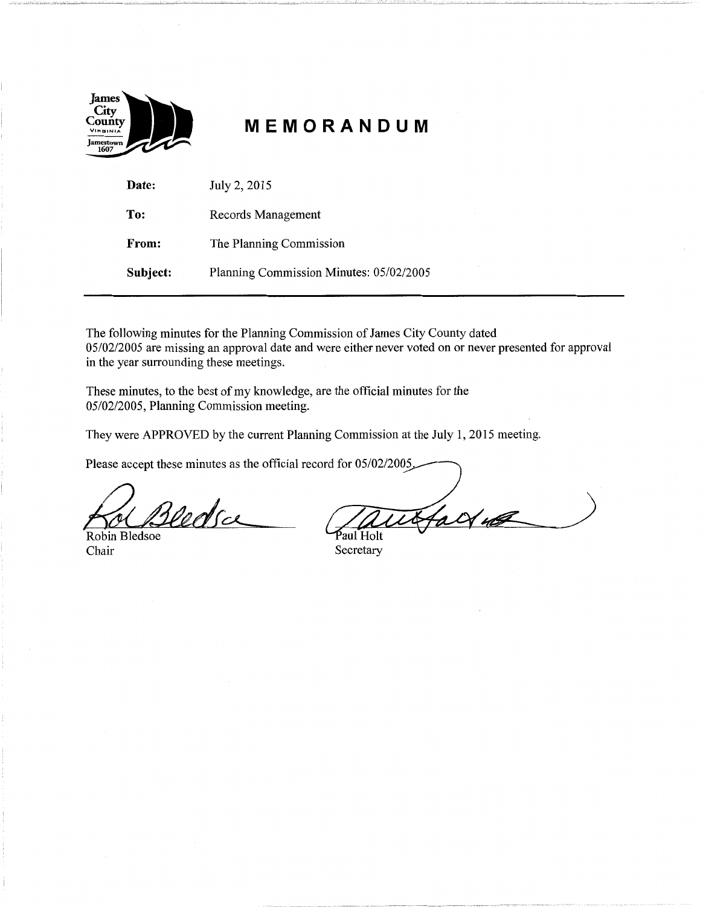

# **MEMORANDUM**

| Date:    | July 2, 2015                            |
|----------|-----------------------------------------|
| To:      | Records Management                      |
| From:    | The Planning Commission                 |
| Subject: | Planning Commission Minutes: 05/02/2005 |

The following minutes for the Planning Commission of James City County dated 05/02/2005 are missing an approval date and were either never voted on or never presented for approval in the year surrounding these meetings.

These minutes, to the best of my knowledge, are the official minutes for the 05/02/2005, Planning Commission meeting.

They were APPROVED by the current Planning Commission at the July 1, 2015 meeting.

Please accept these minutes as the official record for 05/02/2005.

Vedsa

Robin Bledsoe Chair Secretary

falt 40 Paul Holt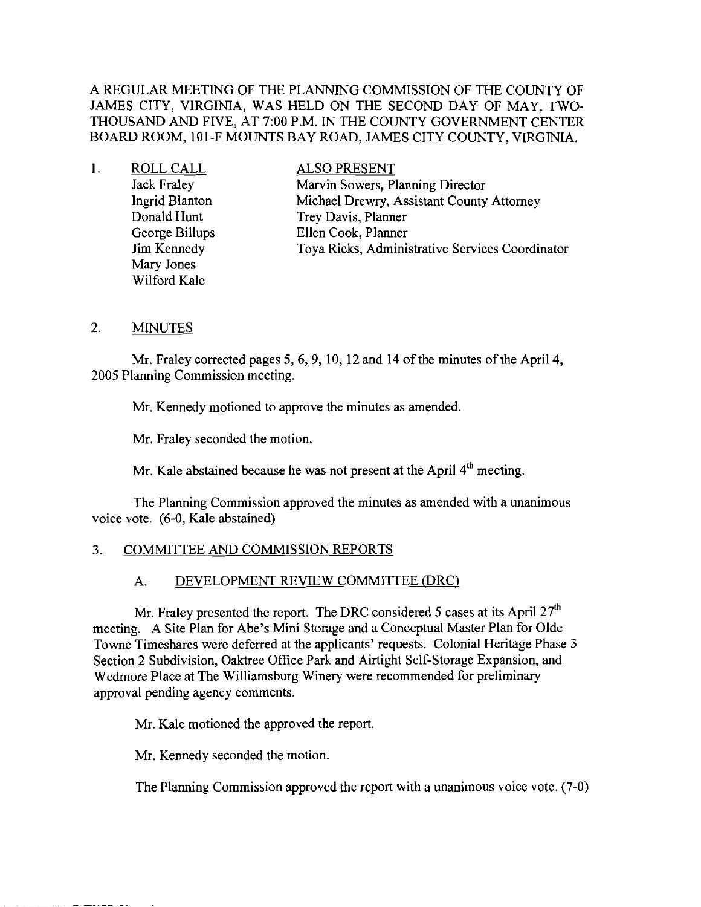A REGULAR MEETING OF THE PLANNING COMMISSION OF THE COUNTY OF JAMES CITY, VIRGINIA, WAS HELD ON THE SECOND DAY OF MAY, TWO-THOUSAND AND FIVE, AT 7:00 P.M. IN THE COUNTY GOVERNMENT CENTER BOARD ROOM, 10l-F MOUNTS BAY ROAD, JAMES CITY COUNTY, VIRGINIA.

| ROLL CALL          | ALSO PRESENT                                    |
|--------------------|-------------------------------------------------|
| Jack Fraley        | Marvin Sowers, Planning Director                |
| Ingrid Blanton     | Michael Drewry, Assistant County Attorney       |
| Donald Hunt        | Trey Davis, Planner                             |
| George Billups     | Ellen Cook, Planner                             |
| <b>Jim Kennedy</b> | Toya Ricks, Administrative Services Coordinator |
| Mary Jones         |                                                 |
| Wilford Kale       |                                                 |

#### 2. MINUTES

Mr. Fraley corrected pages 5, 6, 9, 10, 12 and 14 of the minutes of the April 4, 2005 Planning Commission meeting.

Mr. Kennedy motioned to approve the minutes as amended.

Mr. Fraley seconded the motion.

Mr. Kale abstained because he was not present at the April  $4<sup>th</sup>$  meeting.

The Planning Commission approved the minutes as amended with a unanimous voice vote. (6-0, Kale abstained)

#### 3. COMMITTEE AND COMMISSION REPORTS

## A. DEVELOPMENT REVIEW COMMITTEE (DRC)

Mr. Fraley presented the report. The DRC considered 5 cases at its April  $27<sup>th</sup>$ meeting. A Site Plan for Abe's Mini Storage and a Conceptual Master Plan for Olde Towne Timeshares were deferred at the applicants' requests. Colonial Heritage Phase 3 Section 2 Subdivision, Oaktree Office Park and Airtight Self-Storage Expansion, and Wedmore Place at The Williamsburg Winery were recommended for preliminary approval pending agency comments.

Mr. Kale motioned the approved the report.

Mr. Kennedy seconded the motion.

The Planning Commission approved the report with a unanimous voice vote. (7-0)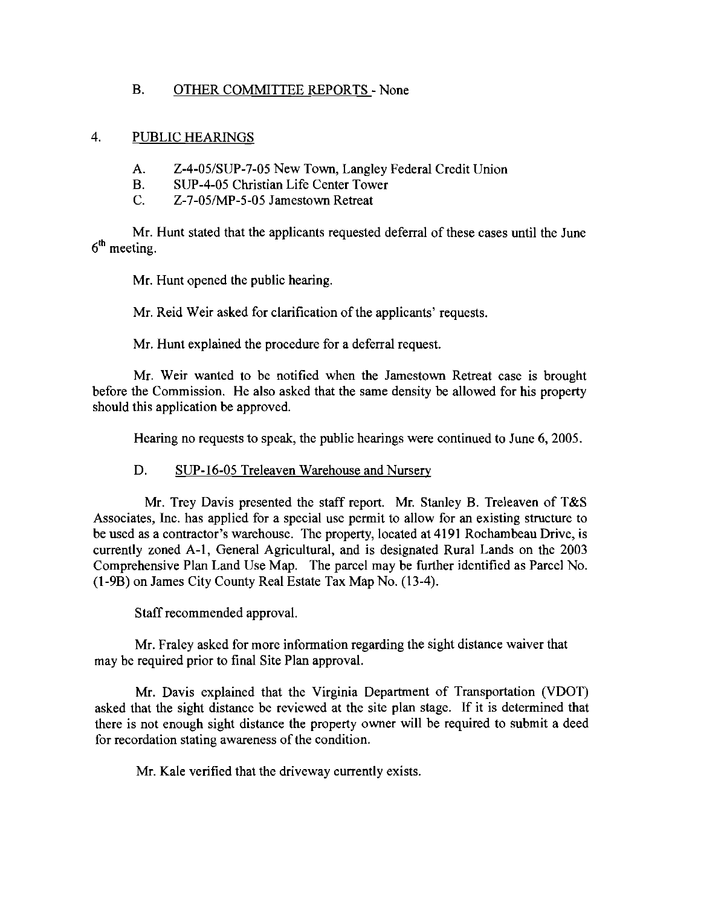## B. OTHER COMMITTEE REPORTS - None

## 4. PUBLIC HEARINGS

- A. Z-4-05/SUP-7-05 New Town, Langley Federal Credit Union
- B. SUP-4-05 Christian Life Center Tower
- C. Z-7-05/MP-5-05 Jamestown Retreat

Mr. Hunt stated that the applicants requested deferral of these cases until the June  $6<sup>th</sup>$  meeting.

Mr. Hunt opened the public hearing.

Mr. Reid Weir asked for clarification of the applicants' requests.

Mr. Hunt explained the procedure for a deferral request.

Mr. Weir wanted to be notified when the Jamestown Retreat case is brought before the Commission. He also asked that the same density be allowed for his property should this application be approved.

Hearing no requests to speak, the public hearings were continued to June 6, 2005.

## D. SUP-I6-05 Treleaven Warehouse and Nursery

Mr. Trey Davis presented the staff report. Mr. Stanley B. Treleaven of T&S Associates, Inc. has applied for a special use permit to allow for an existing structure to be used as a contractor's warehouse. The property, located at 4191 Rochambeau Drive, is currently zoned A-I, General Agricultural, and is designated Rural Lands on the 2003 Comprehensive Plan Land Use Map. The parcel may be further identified as Parcel No. (l-9B) on James City County Real Estate Tax Map No. (13-4).

Staff recommended approval.

Mr. Fraley asked for more information regarding the sight distance waiver that may be required prior to final Site Plan approval.

Mr. Davis explained that the Virginia Department of Transportation (VDOT) asked that the sight distance be reviewed at the site plan stage. If it is determined that there is not enough sight distance the property owner will be required to submit a deed for recordation stating awareness of the condition.

Mr. Kale verified that the driveway currently exists.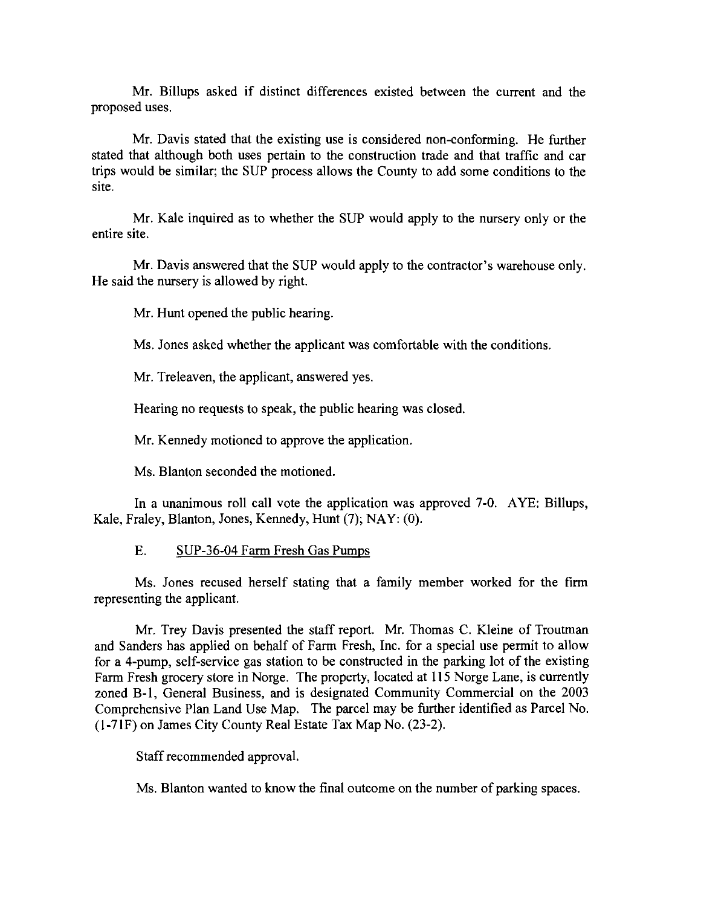Mr. Billups asked if distinct differences existed between the current and the proposed uses.

Mr. Davis stated that the existing use is considered non-conforming. He further stated that although both uses pertain to the construction trade and that traffic and car trips would be similar; the SUP process allows the County to add some conditions to the site.

Mr. Kale inquired as to whether the SUP would apply to the nursery only or the entire site.

Mr. Davis answered that the SUP would apply to the contractor's warehouse only. He said the nursery is allowed by right.

Mr. Hunt opened the public hearing.

Ms. Jones asked whether the applicant was comfortable with the conditions.

Mr. Treleaven, the applicant, answered yes.

Hearing no requests to speak, the public hearing was closed.

Mr. Kennedy motioned to approve the application.

Ms. Blanton seconded the motioned.

In a unanimous roll call vote the application was approved 7-0. AYE: Billups, Kale, Fraley, Blanton, Jones, Kennedy, Hunt (7); NAY: (0).

#### E. SUP-36-04 Farm Fresh Gas Pumps

Ms. Jones recused herself stating that a family member worked for the firm representing the applicant.

Mr. Trey Davis presented the staff report. Mr. Thomas C. Kleine of Troutman and Sanders has applied on behalf of Farm Fresh, Inc. for a special use permit to allow for a 4-pump, self-service gas station to be constructed in the parking lot of the existing Farm Fresh grocery store in Norge. The property, located at 115 Norge Lane, is currently zoned B-1, General Business, and is designated Community Commercial on the 2003 Comprehensive Plan Land Use Map. The parcel may be further identified as Parcel No. (1-7IF) on James City County Real Estate Tax Map No. (23-2).

Staff recommended approval.

Ms. Blanton wanted to know the final outcome on the number of parking spaces.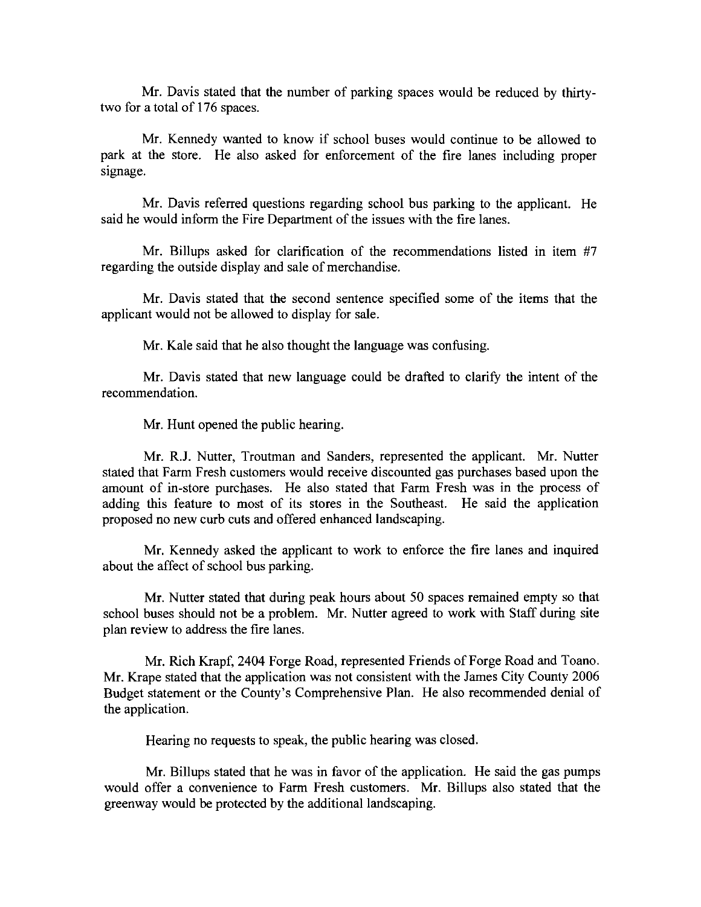Mr. Davis stated that the number of parking spaces would be reduced by thirtytwo for a total of 176 spaces.

Mr. Kennedy wanted to know if school buses would continue to be allowed to park at the store. He also asked for enforcement of the fire lanes including proper signage.

Mr. Davis referred questions regarding school bus parking to the applicant. He said he would inform the Fire Department of the issues with the fire lanes.

Mr. Billups asked for clarification of the recommendations listed in item #7 regarding the outside display and sale of merchandise.

Mr. Davis stated that the second sentence specified some of the items that the applicant would not be allowed to display for sale.

Mr. Kale said that he also thought the language was confusing.

Mr. Davis stated that new language could be drafted to clarify the intent of the recommendation.

Mr. Hunt opened the public hearing.

Mr. R.I. Nutter, Troutman and Sanders, represented the applicant. Mr. Nutter stated that Farm Fresh customers would receive discounted gas purchases based upon the amount of in-store purchases. He also stated that Farm Fresh was in the process of adding this feature to most of its stores in the Southeast. He said the application proposed no new curb cuts and offered enhanced landscaping.

Mr. Kennedy asked the applicant to work to enforce the fire lanes and inquired about the affect of school bus parking.

Mr. Nutter stated that during peak hours about 50 spaces remained empty so that school buses should not be a problem. Mr. Nutter agreed to work with Staff during site plan review to address the fire lanes.

Mr. Rich Krapf, 2404 Forge Road, represented Friends of Forge Road and Toano. Mr. Krape stated that the application was not consistent with the James City County 2006 Budget statement or the County's Comprehensive Plan. He also recommended denial of the application.

Hearing no requests to speak, the public hearing was closed.

Mr. Billups stated that he was in favor of the application. He said the gas pumps would offer a convenience to Farm Fresh customers. Mr. Billups also stated that the greenway would be protected by the additional landscaping.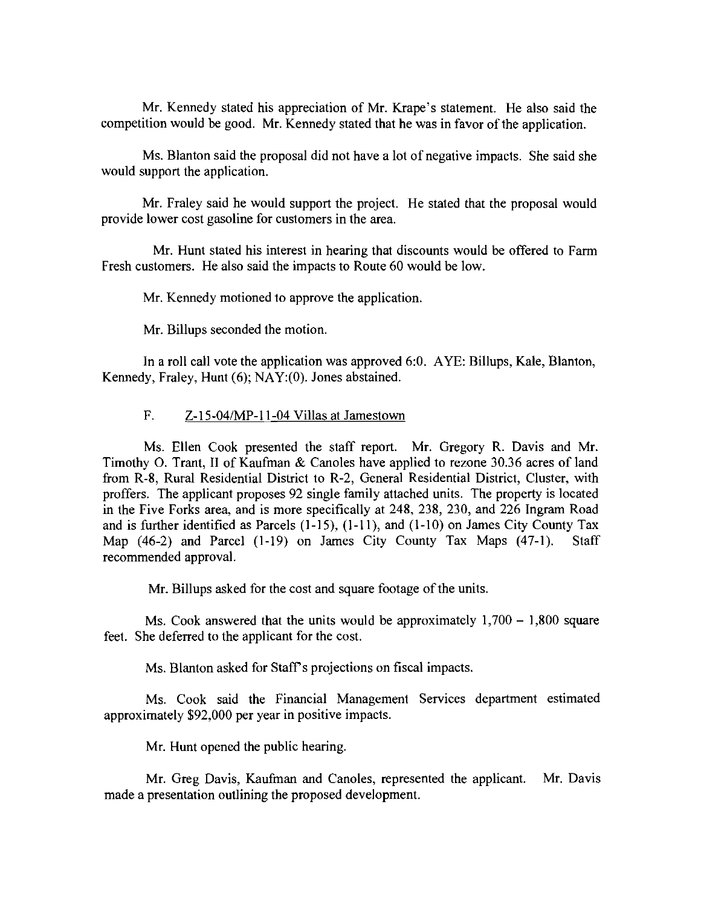Mr. Kennedy stated his appreciation of Mr. Krape's statement. He also said the competition would be good. Mr. Kennedy stated that he was in favor of the application.

Ms. Blanton said the proposal did not have a lot of negative impacts. She said she would support the application.

Mr. Fraley said he would support the project. He stated that the proposal would provide lower cost gasoline for customers in the area.

Mr. Hunt stated his interest in hearing that discounts would be offered to Farm Fresh customers. He also said the impacts to Route 60 would be low.

Mr. Kennedy motioned to approve the application.

Mr. Billups seconded the motion.

In a roll call vote the application was approved 6:0. AYE: Billups, Kale, Blanton, Kennedy, Fraley, Hunt (6); NAY: (0). Jones abstained.

#### F. Z-I5-04/MP-1I-04 Villas at Jamestown

Ms. Ellen Cook presented the staff report. Mr. Gregory R. Davis and Mr. Timothy O. Trant, II of Kaufman & Canoles have applied to rezone 30.36 acres of land from R-8, Rural Residential District to R-2, General Residential District, Cluster, with proffers. The applicant proposes 92 single family attached units. The property is located in the Five Forks area, and is more specifically at 248, 238, 230, and 226 Ingram Road and is further identified as Parcels (1-15), (I-II), and (1-10) on James City County Tax Map (46-2) and Parcel (1-19) on James City County Tax Maps (47-1). Staff recommended approval.

Mr. Billups asked for the cost and square footage of the units.

Ms. Cook answered that the units would be approximately  $1,700 - 1,800$  square feet. She deferred to the applicant for the cost.

Ms. Blanton asked for Staff's projections on fiscal impacts.

Ms. Cook said the Financial Management Services department estimated approximately \$92,000 per year in positive impacts.

Mr. Hunt opened the public hearing.

Mr. Greg Davis, Kaufman and Canoles, represented the applicant. Mr. Davis made a presentation outlining the proposed development.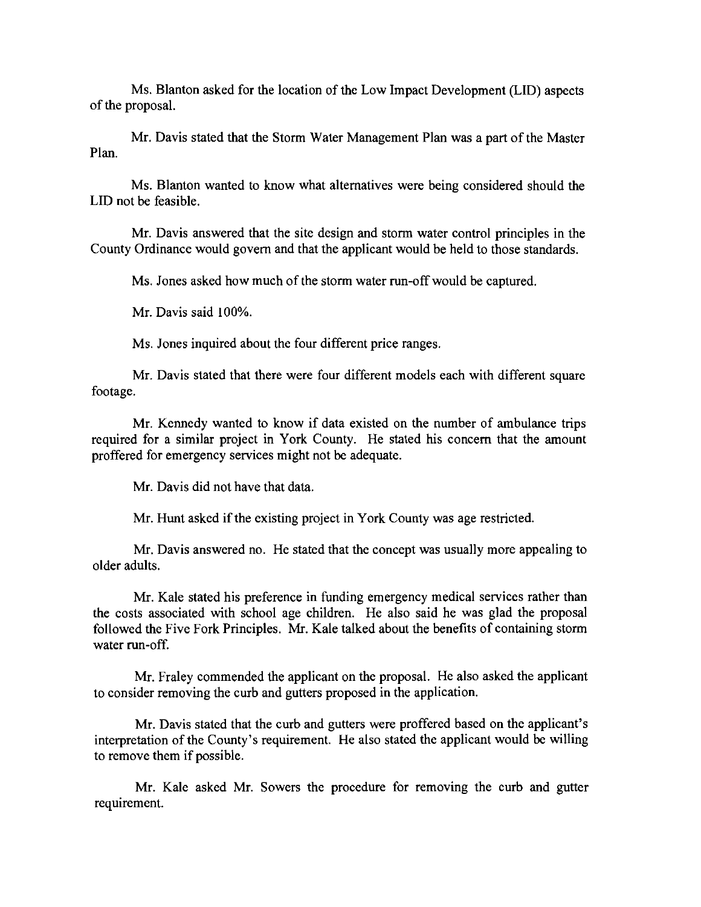Ms. Blanton asked for the location of the Low Impact Development (LID) aspects of the proposal.

Mr. Davis stated that the Storm Water Management Plan was a part of the Master Plan.

Ms. Blanton wanted to know what alternatives were being considered should the LID not be feasible.

Mr. Davis answered that the site design and storm water control principles in the County Ordinance would govern and that the applicant would be held to those standards.

Ms. Jones asked how much of the storm water run-off would be captured.

Mr. Davis said 100%.

Ms. Jones inquired about the four different price ranges.

Mr. Davis stated that there were four different models each with different square footage.

Mr. Kennedy wanted to know if data existed on the number of ambulance trips required for a similar project in York County. He stated his concern that the amount proffered for emergency services might not be adequate.

Mr. Davis did not have that data.

Mr. Hunt asked if the existing project in York County was age restricted.

Mr. Davis answered no. He stated that the concept was usually more appealing to older adults.

Mr. Kale stated his preference in funding emergency medical services rather than the costs associated with school age children. He also said he was glad the proposal followed the Five Fork Principles. Mr. Kale talked about the benefits of containing storm water run-off.

Mr. Fraley commended the applicant on the proposal. He also asked the applicant to consider removing the curb and gutters proposed in the application.

Mr. Davis stated that the curb and gutters were proffered based on the applicant's interpretation of the County's requirement. He also stated the applicant would be willing to remove them if possible.

Mr. Kale asked Mr. Sowers the procedure for removing the curb and gutter requirement.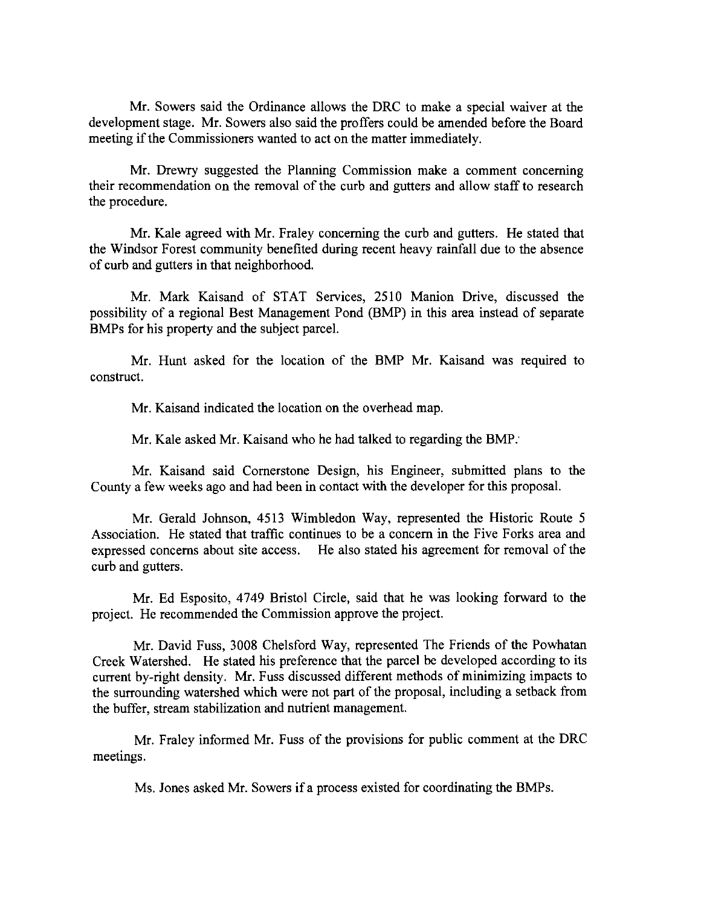Mr. Sowers said the Ordinance allows the DRC to make a special waiver at the development stage. Mr. Sowers also said the proffers could be amended before the Board meeting if the Commissioners wanted to act on the matter immediately.

Mr. Drewry suggested the Planning Commission make a comment concerning their recommendation on the removal of the curb and gutters and allow staff to research the procedure.

Mr. Kale agreed with Mr. Fraley concerning the curb and gutters. He stated that the Windsor Forest community benefited during recent heavy rainfall due to the absence of curb and gutters in that neighborhood.

Mr. Mark Kaisand of STAT Services, 2510 Manion Drive, discussed the possibility of a regional Best Management Pond (BMP) in this area instead of separate BMPs for his property and the subject parcel.

Mr. Hunt asked for the location of the BMP Mr. Kaisand was required to construct.

Mr. Kaisand indicated the location on the overhead map.

Mr. Kale asked Mr. Kaisand who he had talked to regarding the BMP:

Mr. Kaisand said Cornerstone Design, his Engineer, submitted plans to the County a few weeks ago and had been in contact with the developer for this proposal.

Mr. Gerald Johnson, 4513 Wimbledon Way, represented the Historic Route 5 Association. He stated that traffic continues to be a concern in the Five Forks area and expressed concerns about site access. He also stated his agreement for removal of the curb and gutters.

Mr. Ed Esposito, 4749 Bristol Circle, said that he was looking forward to the project. He recommended the Commission approve the project.

Mr. David Fuss, 3008 Chelsford Way, represented The Friends of the Powhatan Creek Watershed. He stated his preference that the parcel be developed according to its current by-right density. Mr. Fuss discussed different methods of minimizing impacts to the surrounding watershed which were not part of the proposal, including a setback from the buffer, stream stabilization and nutrient management.

Mr. Fraley informed Mr. Fuss of the provisions for public comment at the DRC meetings.

Ms. Jones asked Mr. Sowers if a process existed for coordinating the BMPs.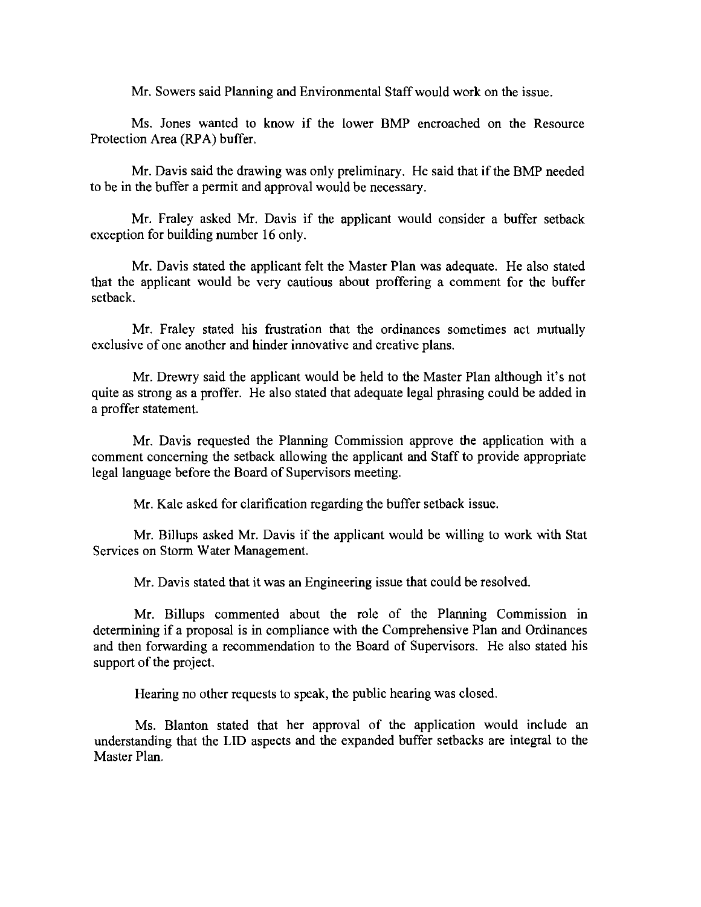Mr. Sowers said Planning and Environmental Staff would work on the issue.

Ms. Jones wanted to know if the lower BMP encroached on the Resource Protection Area (RPA) buffer.

Mr. Davis said the drawing was only preliminary. He said that if the BMP needed to be **in** the buffer a permit and approval would be necessary.

Mr. Fraley asked Mr. Davis if the applicant would consider a buffer setback exception for building number 16 only.

Mr. Davis stated the applicant felt the Master Plan was adequate. He also stated that the applicant would be very cautious about proffering a comment for the buffer setback.

Mr. Fraley stated his frustration that the ordinances sometimes act mutually exclusive of one another and hinder innovative and creative plans.

Mr. Drewry said the applicant would be held to the Master Plan although it's not quite as strong as a proffer. He also stated that adequate legal phrasing could be added in a proffer statement.

Mr. Davis requested the Planning Commission approve the application with a comment concerning the setback allowing the applicant and Staff to provide appropriate legal language before the Board of Supervisors meeting.

Mr. Kale asked for clarification regarding the buffer setback issue.

Mr. Billups asked Mr. Davis if the applicant would be willing to work with Stat Services on Storm Water Management.

Mr. Davis stated that it was an Engineering issue that could be resolved.

Mr. Billups commented about the role of the Planning Commission in determining if a proposal is in compliance with the Comprehensive Plan and Ordinances and then forwarding a recommendation to the Board of Supervisors. He also stated his support of the project.

Hearing no other requests to speak, the public hearing was closed.

Ms. Blanton stated that her approval of the application would include an understanding that the LID aspects and the expanded buffer setbacks are integral to the Master Plan.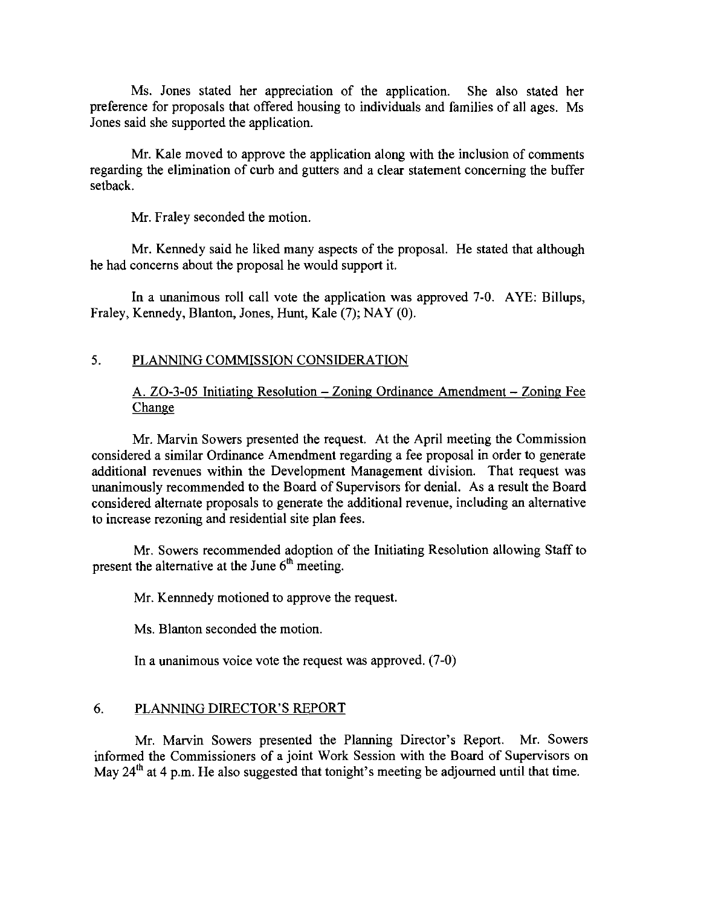Ms. Jones stated her appreciation of the application. She also stated her preference for proposals that offered housing to individuals and families of all ages. Ms Jones said she supported the application.

Mr. Kale moved to approve the application along with the inclusion of comments regarding the elimination of curb and gutters and a clear statement concerning the buffer setback.

Mr. Fraley seconded the motion.

Mr. Kennedy said he liked many aspects of the proposal. He stated that although he had concerns about the proposal he would support it.

In a unanimous roll call vote the application was approved 7-0. AYE: Billups, Fraley, Kennedy, Blanton, Jones, Hunt, Kale (7); NAY (0).

## 5. PLANNING COMMISSION CONSIDERATION

## A. ZO-3-05 Initiating Resolution - Zoning Ordinance Amendment - Zoning Fee Change

Mr. Marvin Sowers presented the request. At the April meeting the Commission considered a similar Ordinance Amendment regarding a fee proposal in order to generate additional revenues within the Development Management division. That request was unanimously recommended to the Board of Supervisors for denial. As a result the Board considered alternate proposals to generate the additional revenue, including an alternative to increase rezoning and residential site plan fees.

Mr. Sowers recommended adoption of the Initiating Resolution allowing Staff to present the alternative at the June  $6<sup>th</sup>$  meeting.

Mr. Kennnedy motioned to approve the request.

Ms. Blanton seconded the motion.

In a unanimous voice vote the request was approved. (7-0)

## 6. PLANNING DIRECTOR'S REPORT

Mr. Marvin Sowers presented the Planning Director's Report. Mr. Sowers informed the Commissioners of a joint Work Session with the Board of Supervisors on May  $24<sup>th</sup>$  at 4 p.m. He also suggested that tonight's meeting be adjourned until that time.